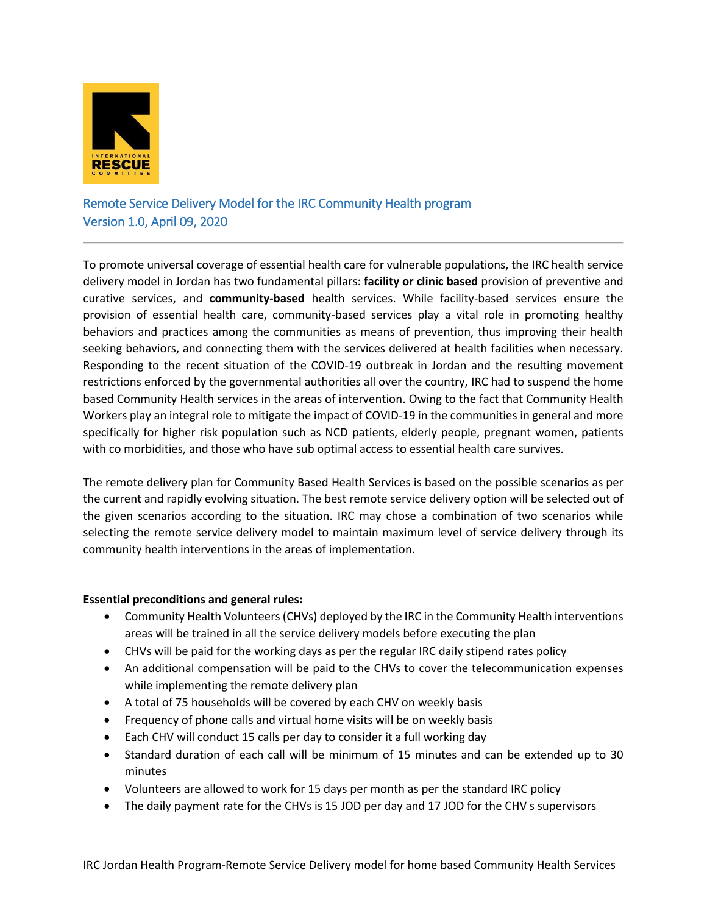

# Remote Service Delivery Model for the IRC Community Health program Version 1.0, April 09, 2020

To promote universal coverage of essential health care for vulnerable populations, the IRC health service delivery model in Jordan has two fundamental pillars: **facility or clinic based** provision of preventive and curative services, and **community-based** health services. While facility-based services ensure the provision of essential health care, community-based services play a vital role in promoting healthy behaviors and practices among the communities as means of prevention, thus improving their health seeking behaviors, and connecting them with the services delivered at health facilities when necessary. Responding to the recent situation of the COVID-19 outbreak in Jordan and the resulting movement restrictions enforced by the governmental authorities all over the country, IRC had to suspend the home based Community Health services in the areas of intervention. Owing to the fact that Community Health Workers play an integral role to mitigate the impact of COVID-19 in the communities in general and more specifically for higher risk population such as NCD patients, elderly people, pregnant women, patients with co morbidities, and those who have sub optimal access to essential health care survives.

The remote delivery plan for Community Based Health Services is based on the possible scenarios as per the current and rapidly evolving situation. The best remote service delivery option will be selected out of the given scenarios according to the situation. IRC may chose a combination of two scenarios while selecting the remote service delivery model to maintain maximum level of service delivery through its community health interventions in the areas of implementation.

# **Essential preconditions and general rules:**

- Community Health Volunteers (CHVs) deployed by the IRC in the Community Health interventions areas will be trained in all the service delivery models before executing the plan
- CHVs will be paid for the working days as per the regular IRC daily stipend rates policy
- An additional compensation will be paid to the CHVs to cover the telecommunication expenses while implementing the remote delivery plan
- A total of 75 households will be covered by each CHV on weekly basis
- Frequency of phone calls and virtual home visits will be on weekly basis
- Each CHV will conduct 15 calls per day to consider it a full working day
- Standard duration of each call will be minimum of 15 minutes and can be extended up to 30 minutes
- Volunteers are allowed to work for 15 days per month as per the standard IRC policy
- The daily payment rate for the CHVs is 15 JOD per day and 17 JOD for the CHV s supervisors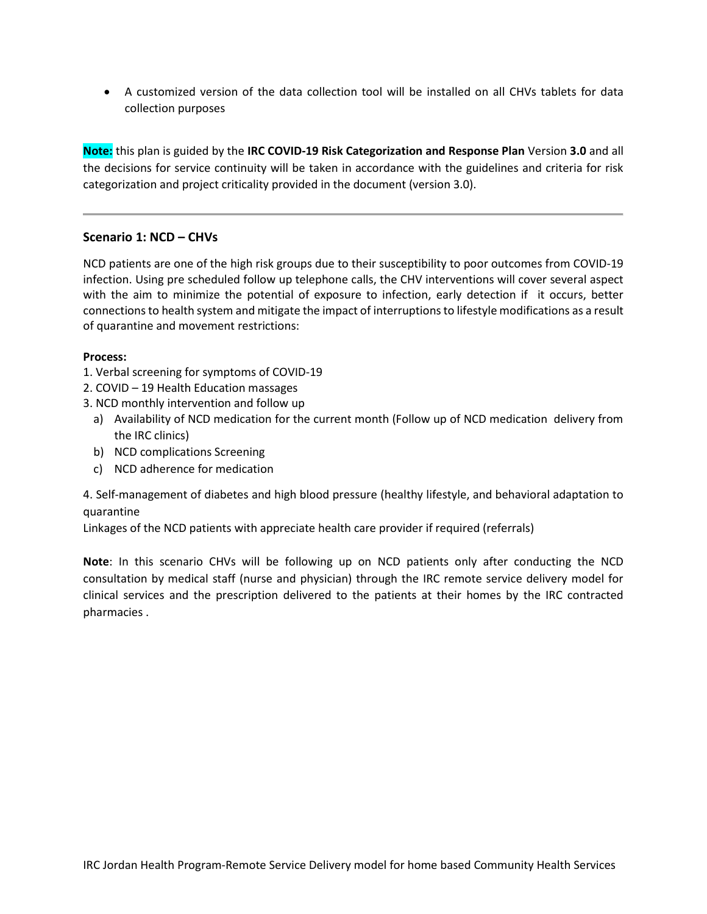A customized version of the data collection tool will be installed on all CHVs tablets for data collection purposes

**Note:** this plan is guided by the **IRC COVID-19 Risk Categorization and Response Plan** Version **3.0** and all the decisions for service continuity will be taken in accordance with the guidelines and criteria for risk categorization and project criticality provided in the document (version 3.0).

# **Scenario 1: NCD – CHVs**

NCD patients are one of the high risk groups due to their susceptibility to poor outcomes from COVID-19 infection. Using pre scheduled follow up telephone calls, the CHV interventions will cover several aspect with the aim to minimize the potential of exposure to infection, early detection if it occurs, better connections to health system and mitigate the impact of interruptions to lifestyle modifications as a result of quarantine and movement restrictions:

#### **Process:**

- 1. Verbal screening for symptoms of COVID-19
- 2. COVID 19 Health Education massages
- 3. NCD monthly intervention and follow up
	- a) Availability of NCD medication for the current month (Follow up of NCD medication delivery from the IRC clinics)
	- b) NCD complications Screening
	- c) NCD adherence for medication

4. Self-management of diabetes and high blood pressure (healthy lifestyle, and behavioral adaptation to quarantine

Linkages of the NCD patients with appreciate health care provider if required (referrals)

**Note**: In this scenario CHVs will be following up on NCD patients only after conducting the NCD consultation by medical staff (nurse and physician) through the IRC remote service delivery model for clinical services and the prescription delivered to the patients at their homes by the IRC contracted pharmacies .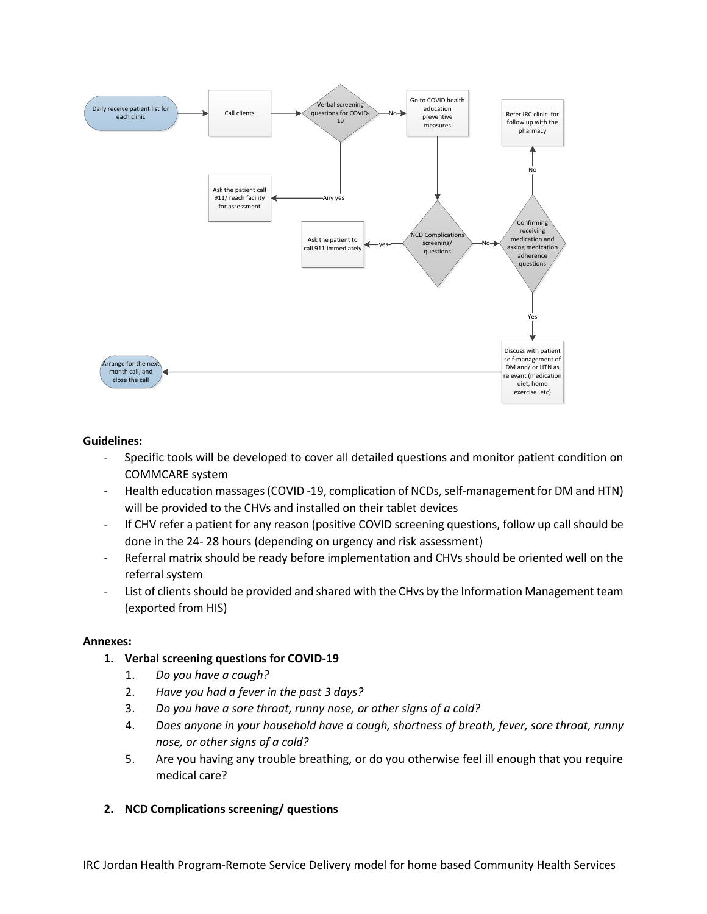

#### **Guidelines:**

- Specific tools will be developed to cover all detailed questions and monitor patient condition on COMMCARE system
- Health education massages (COVID -19, complication of NCDs, self-management for DM and HTN) will be provided to the CHVs and installed on their tablet devices
- If CHV refer a patient for any reason (positive COVID screening questions, follow up call should be done in the 24- 28 hours (depending on urgency and risk assessment)
- Referral matrix should be ready before implementation and CHVs should be oriented well on the referral system
- List of clients should be provided and shared with the CHvs by the Information Management team (exported from HIS)

#### **Annexes:**

- **1. Verbal screening questions for COVID-19**
	- 1. *Do you have a cough?*
	- 2. *Have you had a fever in the past 3 days?*
	- 3. *Do you have a sore throat, runny nose, or other signs of a cold?*
	- 4. *Does anyone in your household have a cough, shortness of breath, fever, sore throat, runny nose, or other signs of a cold?*
	- 5. Are you having any trouble breathing, or do you otherwise feel ill enough that you require medical care?

# **2. NCD Complications screening/ questions**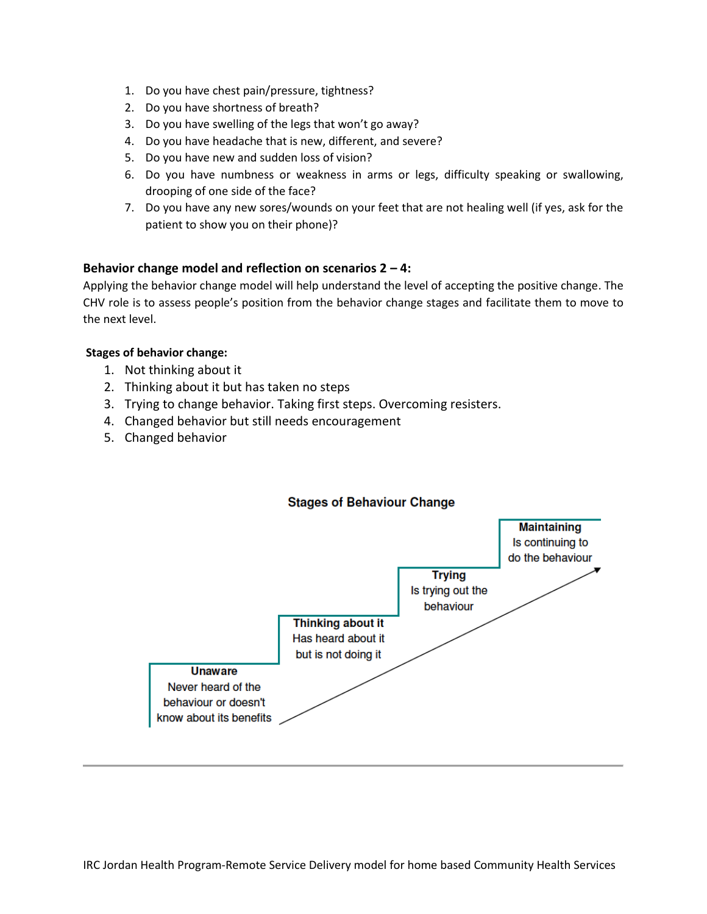- 1. Do you have chest pain/pressure, tightness?
- 2. Do you have shortness of breath?
- 3. Do you have swelling of the legs that won't go away?
- 4. Do you have headache that is new, different, and severe?
- 5. Do you have new and sudden loss of vision?
- 6. Do you have numbness or weakness in arms or legs, difficulty speaking or swallowing, drooping of one side of the face?
- 7. Do you have any new sores/wounds on your feet that are not healing well (if yes, ask for the patient to show you on their phone)?

# **Behavior change model and reflection on scenarios 2 – 4:**

Applying the behavior change model will help understand the level of accepting the positive change. The CHV role is to assess people's position from the behavior change stages and facilitate them to move to the next level.

# **Stages of behavior change:**

- 1. Not thinking about it
- 2. Thinking about it but has taken no steps
- 3. Trying to change behavior. Taking first steps. Overcoming resisters.
- 4. Changed behavior but still needs encouragement
- 5. Changed behavior



# **Stages of Behaviour Change**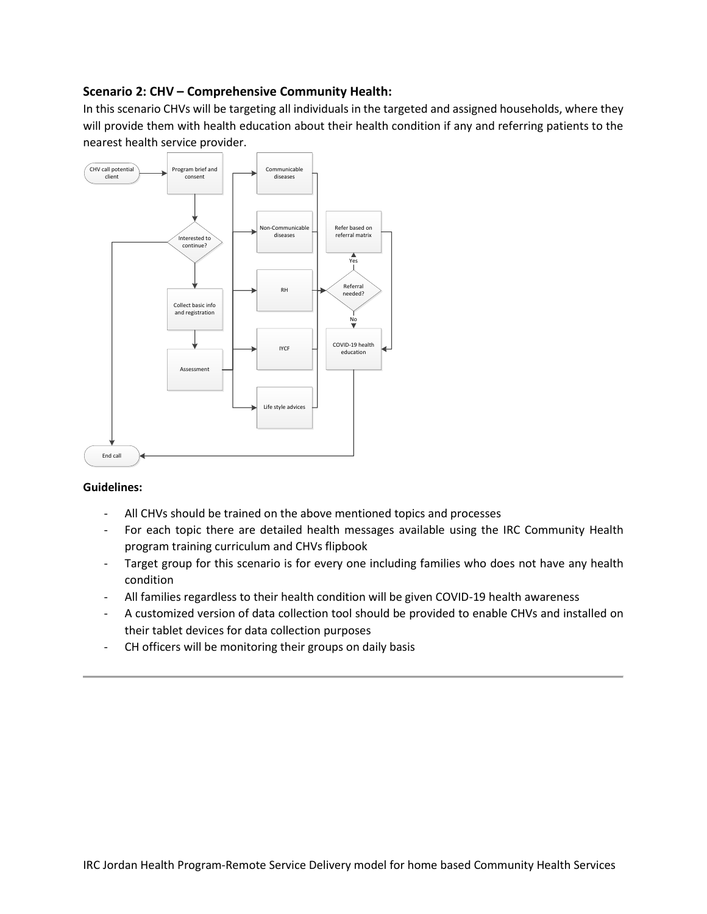# **Scenario 2: CHV – Comprehensive Community Health:**

In this scenario CHVs will be targeting all individuals in the targeted and assigned households, where they will provide them with health education about their health condition if any and referring patients to the nearest health service provider.



# **Guidelines:**

- All CHVs should be trained on the above mentioned topics and processes
- For each topic there are detailed health messages available using the IRC Community Health program training curriculum and CHVs flipbook
- Target group for this scenario is for every one including families who does not have any health condition
- All families regardless to their health condition will be given COVID-19 health awareness
- A customized version of data collection tool should be provided to enable CHVs and installed on their tablet devices for data collection purposes
- CH officers will be monitoring their groups on daily basis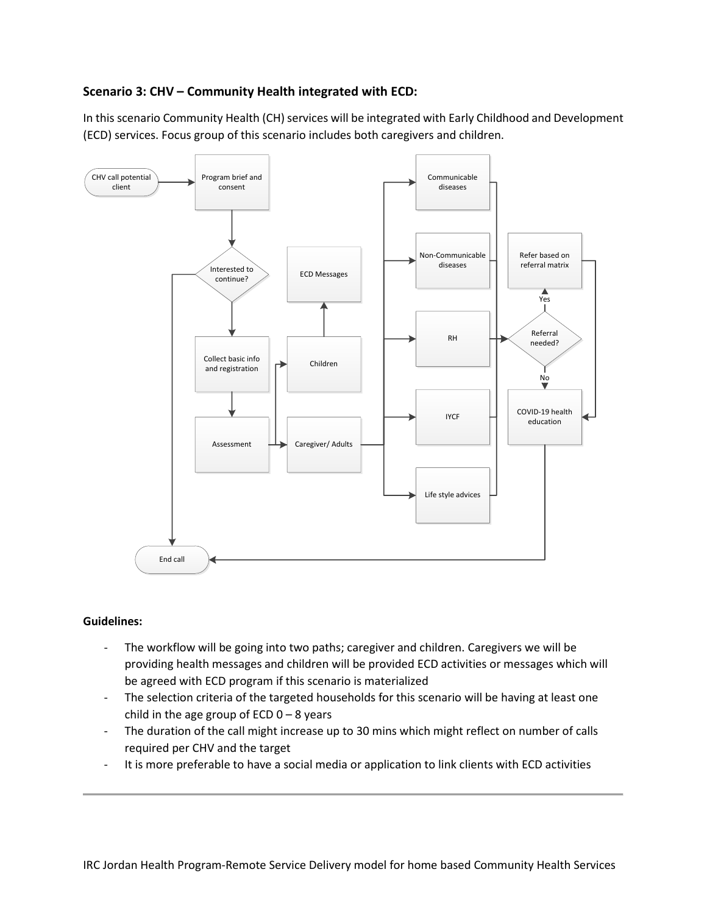# **Scenario 3: CHV – Community Health integrated with ECD:**

In this scenario Community Health (CH) services will be integrated with Early Childhood and Development (ECD) services. Focus group of this scenario includes both caregivers and children.



#### **Guidelines:**

- The workflow will be going into two paths; caregiver and children. Caregivers we will be providing health messages and children will be provided ECD activities or messages which will be agreed with ECD program if this scenario is materialized
- The selection criteria of the targeted households for this scenario will be having at least one child in the age group of ECD  $0 - 8$  years
- The duration of the call might increase up to 30 mins which might reflect on number of calls required per CHV and the target
- It is more preferable to have a social media or application to link clients with ECD activities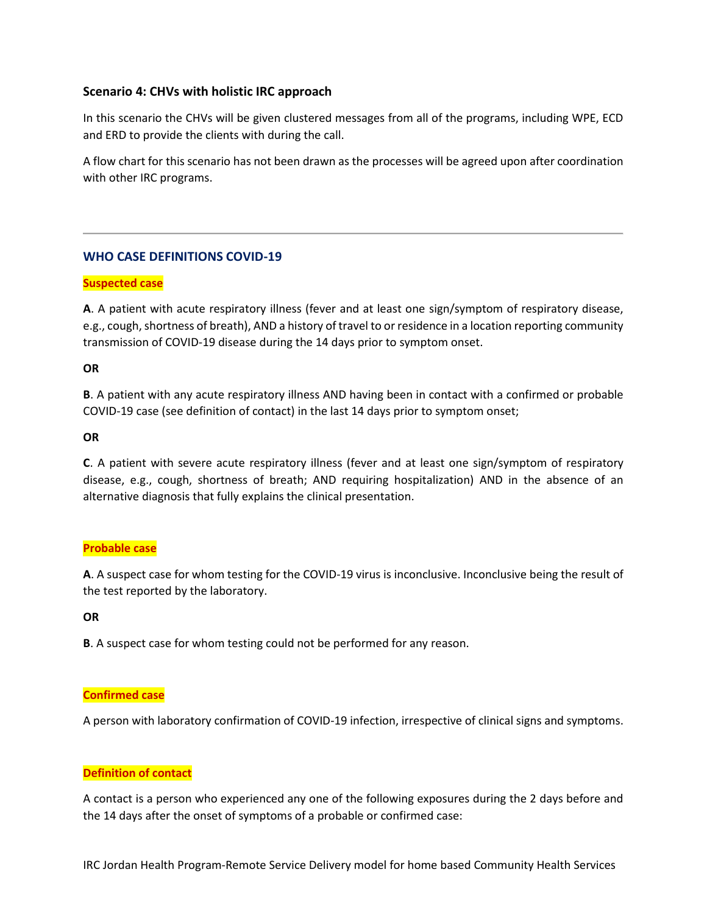# **Scenario 4: CHVs with holistic IRC approach**

In this scenario the CHVs will be given clustered messages from all of the programs, including WPE, ECD and ERD to provide the clients with during the call.

A flow chart for this scenario has not been drawn as the processes will be agreed upon after coordination with other IRC programs.

# **WHO CASE DEFINITIONS COVID-19**

# **Suspected case**

**A**. A patient with acute respiratory illness (fever and at least one sign/symptom of respiratory disease, e.g., cough, shortness of breath), AND a history of travel to or residence in a location reporting community transmission of COVID-19 disease during the 14 days prior to symptom onset.

#### **OR**

**B**. A patient with any acute respiratory illness AND having been in contact with a confirmed or probable COVID-19 case (see definition of contact) in the last 14 days prior to symptom onset;

### **OR**

**C**. A patient with severe acute respiratory illness (fever and at least one sign/symptom of respiratory disease, e.g., cough, shortness of breath; AND requiring hospitalization) AND in the absence of an alternative diagnosis that fully explains the clinical presentation.

# **Probable case**

**A**. A suspect case for whom testing for the COVID-19 virus is inconclusive. Inconclusive being the result of the test reported by the laboratory.

# **OR**

**B**. A suspect case for whom testing could not be performed for any reason.

# **Confirmed case**

A person with laboratory confirmation of COVID-19 infection, irrespective of clinical signs and symptoms.

#### **Definition of contact**

A contact is a person who experienced any one of the following exposures during the 2 days before and the 14 days after the onset of symptoms of a probable or confirmed case: